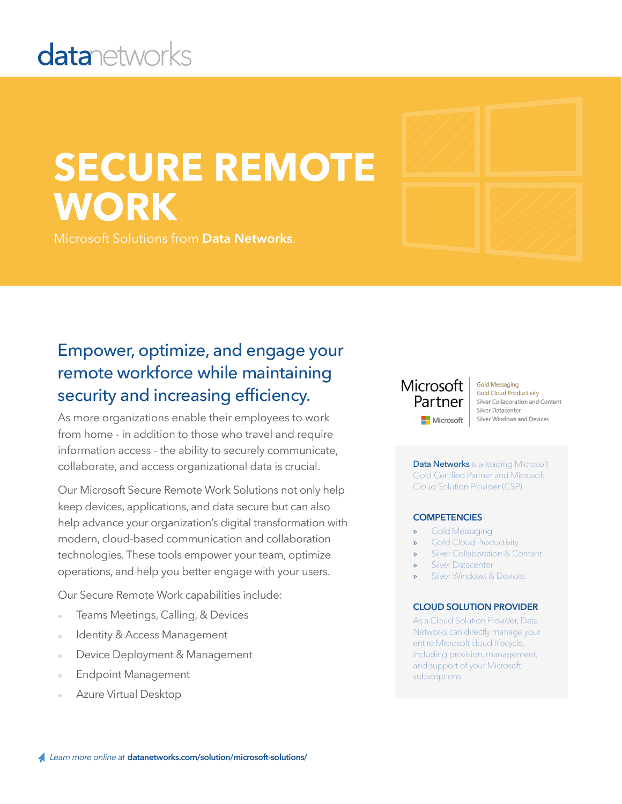## **datanetworks**

# **SECURE REMOTE WORK**

Microsoft Solutions from **Data Networks**.

### Empower, optimize, and engage your remote workforce while maintaining security and increasing efficiency.

As more organizations enable their employees to work from home - in addition to those who travel and require information access - the ability to securely communicate, collaborate, and access organizational data is crucial.

Our Microsoft Secure Remote Work Solutions not only help keep devices, applications, and data secure but can also help advance your organization's digital transformation with modern, cloud-based communication and collaboration technologies. These tools empower your team, optimize operations, and help you better engage with your users.

Our Secure Remote Work capabilities include:

- Teams Meetings, Calling, & Devices
- Identity & Access Management
- Device Deployment & Management
- **Endpoint Management**
- Azure Virtual Desktop

### Microsoft Partner Microsoft

**Gold Messaging Gold Cloud Productivity** Silver Collaboration and Content Silver Datacenter Silver Windows and Devices

Data Networks is a leading Microsoft Gold Certified Partner and Microsoft Cloud Solution Provider (CSP).

#### **COMPETENCIES**

- Gold Messaging
- » Gold Cloud Productivity
- Silver Collaboration & Content
- Silver Datacenter
- Silver Windows & Devices

#### **CLOUD SOLUTION PROVIDER**

As a Cloud Solution Provider, Data Networks can directly manage your entire Microsoft cloud lifecycle, including provision, management, and support of your Microsoft subscriptions.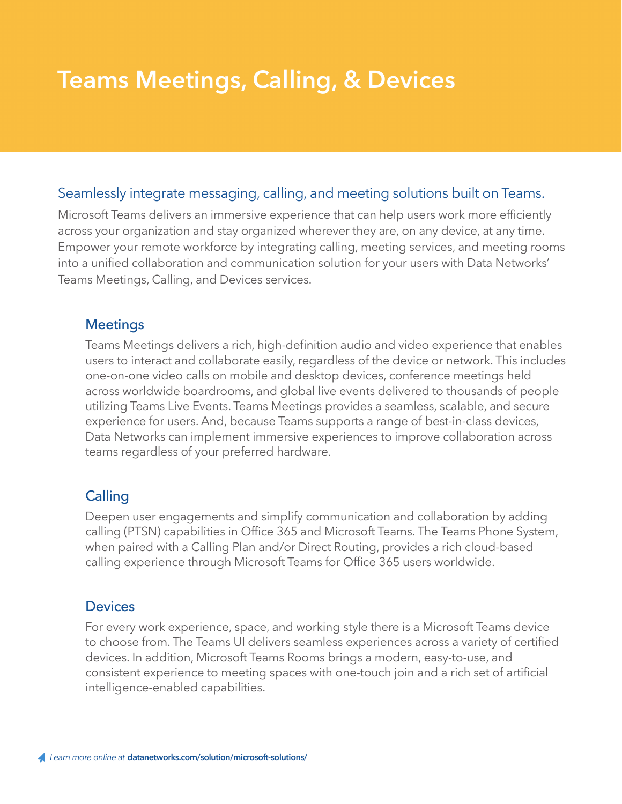### **Teams Meetings, Calling, & Devices**

### Seamlessly integrate messaging, calling, and meeting solutions built on Teams.

Microsoft Teams delivers an immersive experience that can help users work more efficiently across your organization and stay organized wherever they are, on any device, at any time. Empower your remote workforce by integrating calling, meeting services, and meeting rooms into a unified collaboration and communication solution for your users with Data Networks' Teams Meetings, Calling, and Devices services.

### **Meetings**

Teams Meetings delivers a rich, high-definition audio and video experience that enables users to interact and collaborate easily, regardless of the device or network. This includes one-on-one video calls on mobile and desktop devices, conference meetings held across worldwide boardrooms, and global live events delivered to thousands of people utilizing Teams Live Events. Teams Meetings provides a seamless, scalable, and secure experience for users. And, because Teams supports a range of best-in-class devices, Data Networks can implement immersive experiences to improve collaboration across teams regardless of your preferred hardware.

### **Calling**

Deepen user engagements and simplify communication and collaboration by adding calling (PTSN) capabilities in Office 365 and Microsoft Teams. The Teams Phone System, when paired with a Calling Plan and/or Direct Routing, provides a rich cloud-based calling experience through Microsoft Teams for Office 365 users worldwide.

### **Devices**

For every work experience, space, and working style there is a Microsoft Teams device to choose from. The Teams UI delivers seamless experiences across a variety of certified devices. In addition, Microsoft Teams Rooms brings a modern, easy-to-use, and consistent experience to meeting spaces with one-touch join and a rich set of artificial intelligence-enabled capabilities.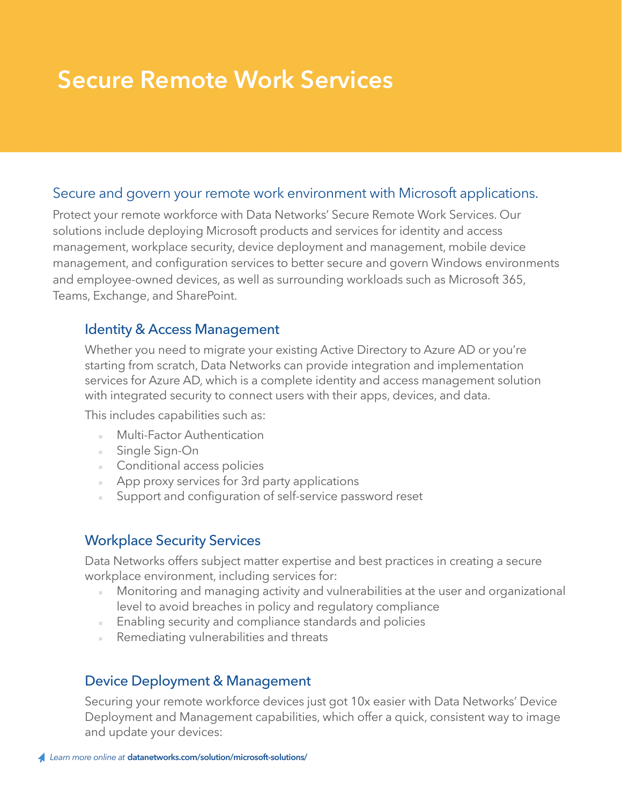### **Secure Remote Work Services**

### Secure and govern your remote work environment with Microsoft applications.

Protect your remote workforce with Data Networks' Secure Remote Work Services. Our solutions include deploying Microsoft products and services for identity and access management, workplace security, device deployment and management, mobile device management, and configuration services to better secure and govern Windows environments and employee-owned devices, as well as surrounding workloads such as Microsoft 365, Teams, Exchange, and SharePoint.

### Identity & Access Management

Whether you need to migrate your existing Active Directory to Azure AD or you're starting from scratch, Data Networks can provide integration and implementation services for Azure AD, which is a complete identity and access management solution with integrated security to connect users with their apps, devices, and data.

This includes capabilities such as:

- **Multi-Factor Authentication**
- Single Sign-On
- Conditional access policies
- App proxy services for 3rd party applications
- Support and configuration of self-service password reset

### Workplace Security Services

Data Networks offers subject matter expertise and best practices in creating a secure workplace environment, including services for:

- Monitoring and managing activity and vulnerabilities at the user and organizational level to avoid breaches in policy and regulatory compliance
- Enabling security and compliance standards and policies
- Remediating vulnerabilities and threats

### Device Deployment & Management

Securing your remote workforce devices just got 10x easier with Data Networks' Device Deployment and Management capabilities, which offer a quick, consistent way to image and update your devices: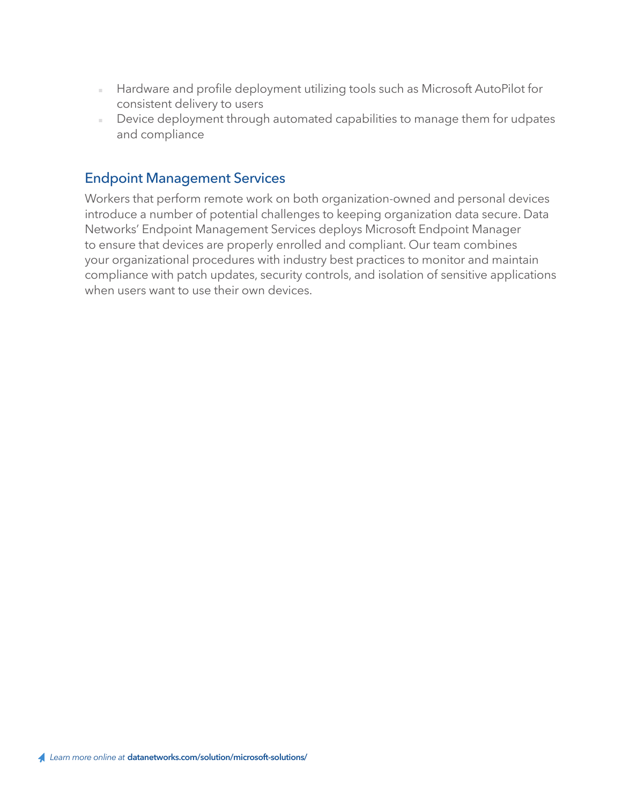- Hardware and profile deployment utilizing tools such as Microsoft AutoPilot for consistent delivery to users
- Device deployment through automated capabilities to manage them for udpates and compliance

### Endpoint Management Services

Workers that perform remote work on both organization-owned and personal devices introduce a number of potential challenges to keeping organization data secure. Data Networks' Endpoint Management Services deploys Microsoft Endpoint Manager to ensure that devices are properly enrolled and compliant. Our team combines your organizational procedures with industry best practices to monitor and maintain compliance with patch updates, security controls, and isolation of sensitive applications when users want to use their own devices.